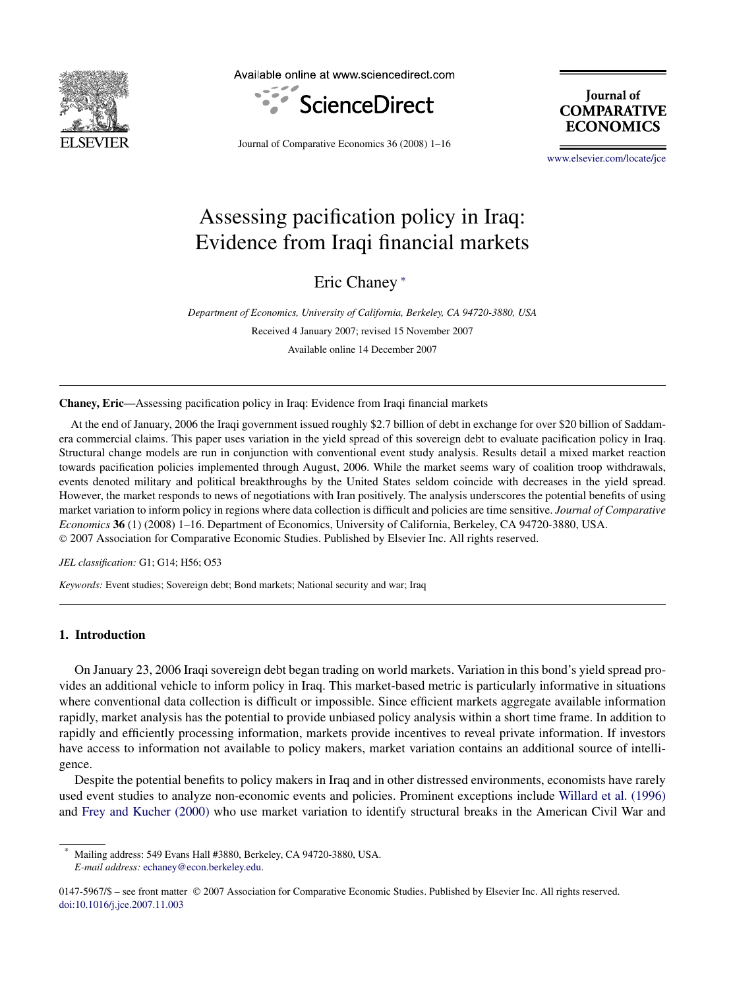

Available online at www.sciencedirect.com



**Iournal** of **COMPARATIVE ECONOMICS** 

Journal of Comparative Economics 36 (2008) 1–16

[www.elsevier.com/locate/jce](http://www.elsevier.com/locate/jce)

## Assessing pacification policy in Iraq: Evidence from Iraqi financial markets

Eric Chaney <sup>∗</sup>

*Department of Economics, University of California, Berkeley, CA 94720-3880, USA* Received 4 January 2007; revised 15 November 2007 Available online 14 December 2007

**Chaney, Eric**—Assessing pacification policy in Iraq: Evidence from Iraqi financial markets

At the end of January, 2006 the Iraqi government issued roughly \$2.7 billion of debt in exchange for over \$20 billion of Saddamera commercial claims. This paper uses variation in the yield spread of this sovereign debt to evaluate pacification policy in Iraq. Structural change models are run in conjunction with conventional event study analysis. Results detail a mixed market reaction towards pacification policies implemented through August, 2006. While the market seems wary of coalition troop withdrawals, events denoted military and political breakthroughs by the United States seldom coincide with decreases in the yield spread. However, the market responds to news of negotiations with Iran positively. The analysis underscores the potential benefits of using market variation to inform policy in regions where data collection is difficult and policies are time sensitive. *Journal of Comparative Economics* **36** (1) (2008) 1–16. Department of Economics, University of California, Berkeley, CA 94720-3880, USA. © 2007 Association for Comparative Economic Studies. Published by Elsevier Inc. All rights reserved.

*JEL classification:* G1; G14; H56; O53

*Keywords:* Event studies; Sovereign debt; Bond markets; National security and war; Iraq

### **1. Introduction**

On January 23, 2006 Iraqi sovereign debt began trading on world markets. Variation in this bond's yield spread provides an additional vehicle to inform policy in Iraq. This market-based metric is particularly informative in situations where conventional data collection is difficult or impossible. Since efficient markets aggregate available information rapidly, market analysis has the potential to provide unbiased policy analysis within a short time frame. In addition to rapidly and efficiently processing information, markets provide incentives to reveal private information. If investors have access to information not available to policy makers, market variation contains an additional source of intelligence.

Despite the potential benefits to policy makers in Iraq and in other distressed environments, economists have rarely used event studies to analyze non-economic events and policies. Prominent exceptions include [Willard et al. \(1996\)](#page--1-0) and [Frey and Kucher \(2000\)](#page--1-0) who use market variation to identify structural breaks in the American Civil War and

Mailing address: 549 Evans Hall #3880, Berkeley, CA 94720-3880, USA. *E-mail address:* [echaney@econ.berkeley.edu](mailto:echaney@econ.berkeley.edu).

<sup>0147-5967/\$ –</sup> see front matter © 2007 Association for Comparative Economic Studies. Published by Elsevier Inc. All rights reserved. [doi:10.1016/j.jce.2007.11.003](http://dx.doi.org/10.1016/j.jce.2007.11.003)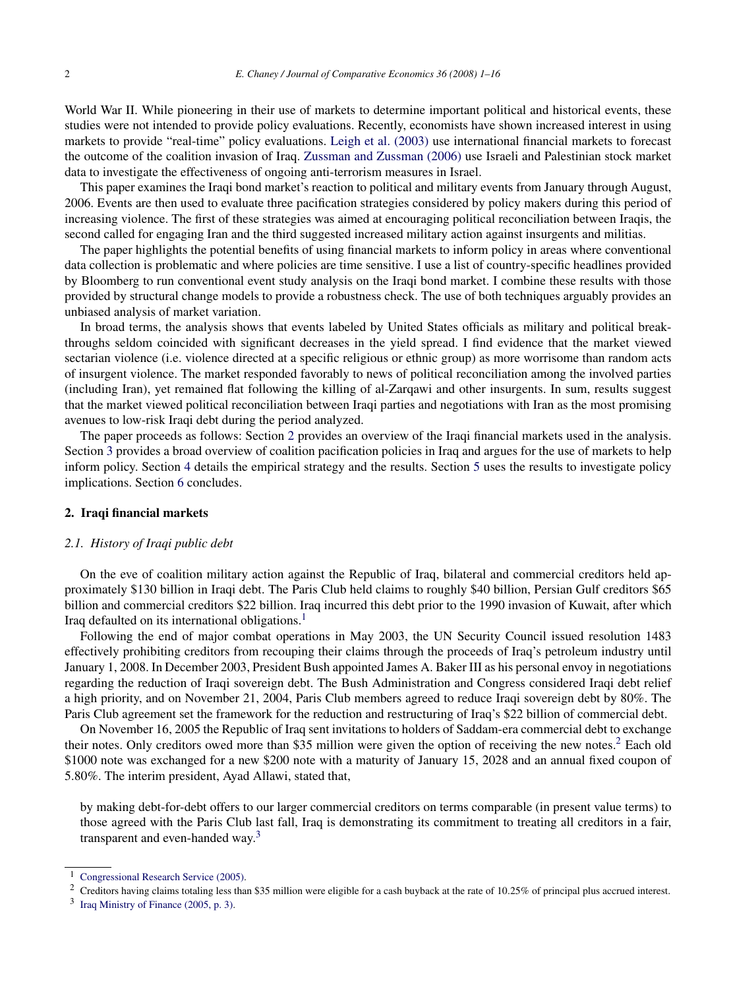World War II. While pioneering in their use of markets to determine important political and historical events, these studies were not intended to provide policy evaluations. Recently, economists have shown increased interest in using markets to provide "real-time" policy evaluations. [Leigh et al. \(2003\)](#page--1-0) use international financial markets to forecast the outcome of the coalition invasion of Iraq. [Zussman and Zussman \(2006\)](#page--1-0) use Israeli and Palestinian stock market data to investigate the effectiveness of ongoing anti-terrorism measures in Israel.

This paper examines the Iraqi bond market's reaction to political and military events from January through August, 2006. Events are then used to evaluate three pacification strategies considered by policy makers during this period of increasing violence. The first of these strategies was aimed at encouraging political reconciliation between Iraqis, the second called for engaging Iran and the third suggested increased military action against insurgents and militias.

The paper highlights the potential benefits of using financial markets to inform policy in areas where conventional data collection is problematic and where policies are time sensitive. I use a list of country-specific headlines provided by Bloomberg to run conventional event study analysis on the Iraqi bond market. I combine these results with those provided by structural change models to provide a robustness check. The use of both techniques arguably provides an unbiased analysis of market variation.

In broad terms, the analysis shows that events labeled by United States officials as military and political breakthroughs seldom coincided with significant decreases in the yield spread. I find evidence that the market viewed sectarian violence (i.e. violence directed at a specific religious or ethnic group) as more worrisome than random acts of insurgent violence. The market responded favorably to news of political reconciliation among the involved parties (including Iran), yet remained flat following the killing of al-Zarqawi and other insurgents. In sum, results suggest that the market viewed political reconciliation between Iraqi parties and negotiations with Iran as the most promising avenues to low-risk Iraqi debt during the period analyzed.

The paper proceeds as follows: Section 2 provides an overview of the Iraqi financial markets used in the analysis. Section [3](#page--1-0) provides a broad overview of coalition pacification policies in Iraq and argues for the use of markets to help inform policy. Section [4](#page--1-0) details the empirical strategy and the results. Section [5](#page--1-0) uses the results to investigate policy implications. Section [6](#page--1-0) concludes.

#### **2. Iraqi financial markets**

#### *2.1. History of Iraqi public debt*

On the eve of coalition military action against the Republic of Iraq, bilateral and commercial creditors held approximately \$130 billion in Iraqi debt. The Paris Club held claims to roughly \$40 billion, Persian Gulf creditors \$65 billion and commercial creditors \$22 billion. Iraq incurred this debt prior to the 1990 invasion of Kuwait, after which Iraq defaulted on its international obligations.<sup>1</sup>

Following the end of major combat operations in May 2003, the UN Security Council issued resolution 1483 effectively prohibiting creditors from recouping their claims through the proceeds of Iraq's petroleum industry until January 1, 2008. In December 2003, President Bush appointed James A. Baker III as his personal envoy in negotiations regarding the reduction of Iraqi sovereign debt. The Bush Administration and Congress considered Iraqi debt relief a high priority, and on November 21, 2004, Paris Club members agreed to reduce Iraqi sovereign debt by 80%. The Paris Club agreement set the framework for the reduction and restructuring of Iraq's \$22 billion of commercial debt.

On November 16, 2005 the Republic of Iraq sent invitations to holders of Saddam-era commercial debt to exchange their notes. Only creditors owed more than \$35 million were given the option of receiving the new notes.2 Each old \$1000 note was exchanged for a new \$200 note with a maturity of January 15, 2028 and an annual fixed coupon of 5.80%. The interim president, Ayad Allawi, stated that,

by making debt-for-debt offers to our larger commercial creditors on terms comparable (in present value terms) to those agreed with the Paris Club last fall, Iraq is demonstrating its commitment to treating all creditors in a fair, transparent and even-handed way.<sup>3</sup>

<sup>1</sup> [Congressional Research Service \(2005\).](#page--1-0)

<sup>2</sup> Creditors having claims totaling less than \$35 million were eligible for a cash buyback at the rate of 10*.*25% of principal plus accrued interest.

 $3$  [Iraq Ministry of Finance \(2005, p. 3\).](#page--1-0)